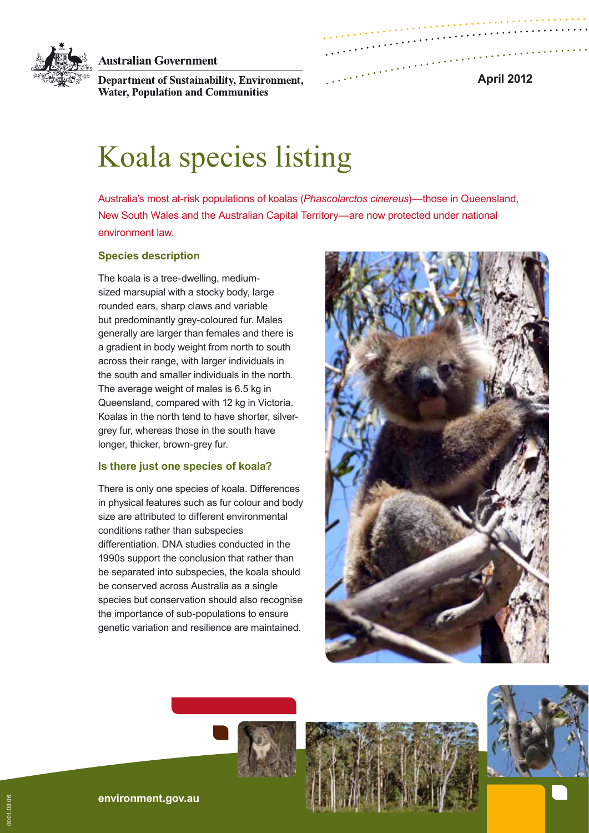**Australian Government** 



**Department of Sustainability, Environment, Water, Population and Communities** 

**April 2012**

# Koala species listing

Australia's most at-risk populations of koalas (*Phascolarctos cinereus*)—those in Queensland, New South Wales and the Australian Capital Territory—are now protected under national environment law.

#### **Species description**

The koala is a tree-dwelling, mediumsized marsupial with a stocky body, large rounded ears, sharp claws and variable but predominantly grey-coloured fur. Males generally are larger than females and there is a gradient in body weight from north to south across their range, with larger individuals in the south and smaller individuals in the north. The average weight of males is 6.5 kg in Queensland, compared with 12 kg in Victoria. Koalas in the north tend to have shorter, silvergrey fur, whereas those in the south have longer, thicker, brown-grey fur.

#### **Is there just one species of koala?**

There is only one species of koala. Differences in physical features such as fur colour and body size are attributed to different environmental conditions rather than subspecies differentiation. DNA studies conducted in the 1990s support the conclusion that rather than be separated into subspecies, the koala should be conserved across Australia as a single species but conservation should also recognise the importance of sub-populations to ensure genetic variation and resilience are maintained.





**<environment.gov.au>**

0001.09.06

0001.09.0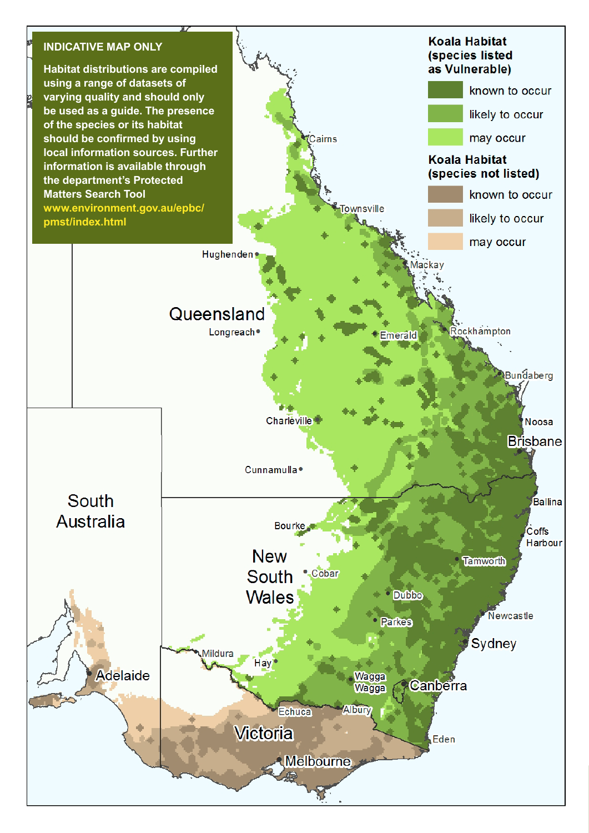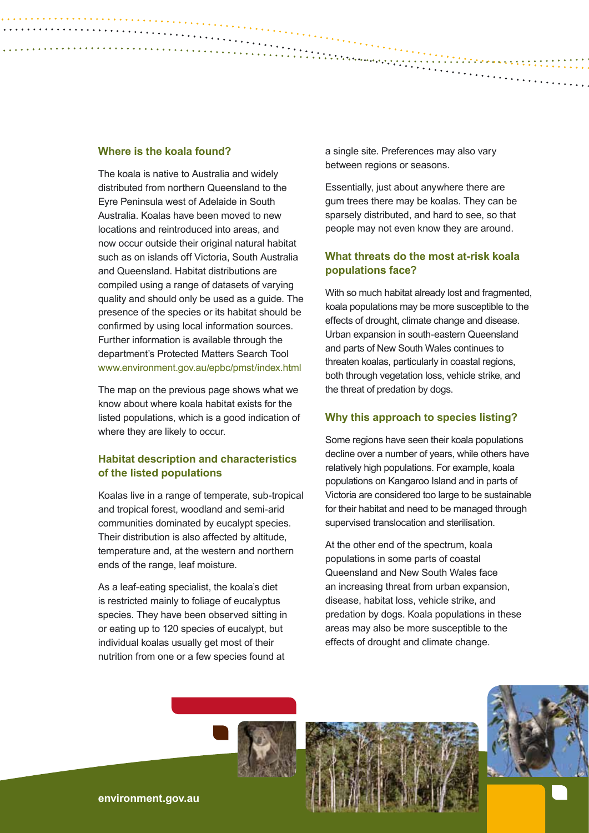#### **Where is the koala found?**

The koala is native to Australia and widely distributed from northern Queensland to the Eyre Peninsula west of Adelaide in South Australia. Koalas have been moved to new locations and reintroduced into areas, and now occur outside their original natural habitat such as on islands off Victoria, South Australia and Queensland. Habitat distributions are compiled using a range of datasets of varying quality and should only be used as a guide. The presence of the species or its habitat should be confirmed by using local information sources. Further information is available through the department's Protected Matters Search Tool <www.environment.gov.au/epbc/pmst/index.html>

The map on the previous page shows what we know about where koala habitat exists for the listed populations, which is a good indication of where they are likely to occur.

### **Habitat description and characteristics of the listed populations**

Koalas live in a range of temperate, sub-tropical and tropical forest, woodland and semi-arid communities dominated by eucalypt species. Their distribution is also affected by altitude, temperature and, at the western and northern ends of the range, leaf moisture.

As a leaf-eating specialist, the koala's diet is restricted mainly to foliage of eucalyptus species. They have been observed sitting in or eating up to 120 species of eucalypt, but individual koalas usually get most of their nutrition from one or a few species found at

a single site. Preferences may also vary between regions or seasons.

Essentially, just about anywhere there are gum trees there may be koalas. They can be sparsely distributed, and hard to see, so that people may not even know they are around.

#### **What threats do the most at-risk koala populations face?**

With so much habitat already lost and fragmented, koala populations may be more susceptible to the effects of drought, climate change and disease. Urban expansion in south-eastern Queensland and parts of New South Wales continues to threaten koalas, particularly in coastal regions, both through vegetation loss, vehicle strike, and the threat of predation by dogs.

#### **Why this approach to species listing?**

Some regions have seen their koala populations decline over a number of years, while others have relatively high populations. For example, koala populations on Kangaroo Island and in parts of Victoria are considered too large to be sustainable for their habitat and need to be managed through supervised translocation and sterilisation.

At the other end of the spectrum, koala populations in some parts of coastal Queensland and New South Wales face an increasing threat from urban expansion, disease, habitat loss, vehicle strike, and predation by dogs. Koala populations in these areas may also be more susceptible to the effects of drought and climate change.

![](_page_2_Picture_14.jpeg)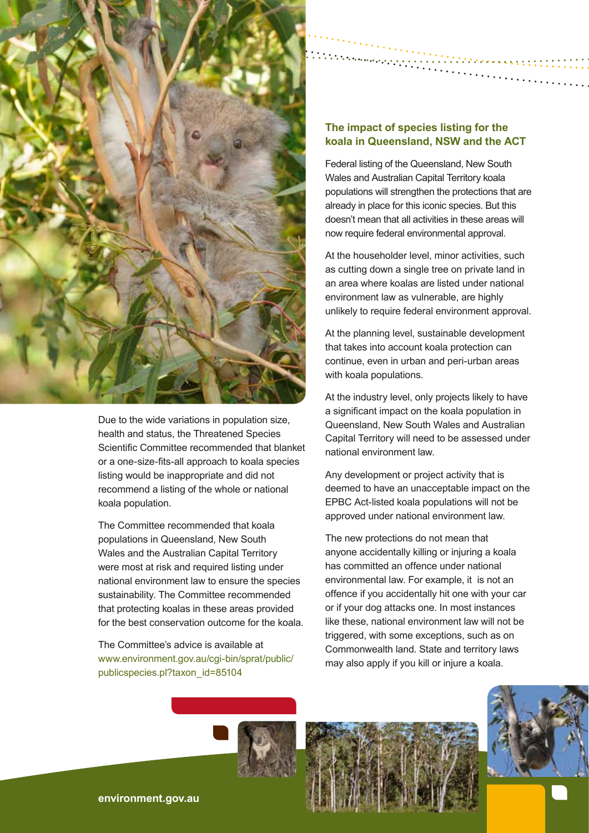![](_page_3_Picture_0.jpeg)

Due to the wide variations in population size, health and status, the Threatened Species Scientific Committee recommended that blanket or a one-size-fits-all approach to koala species listing would be inappropriate and did not recommend a listing of the whole or national koala population.

The Committee recommended that koala populations in Queensland, New South Wales and the Australian Capital Territory were most at risk and required listing under national environment law to ensure the species sustainability. The Committee recommended that protecting koalas in these areas provided for the best conservation outcome for the koala.

The Committee's advice is available at [www.environment.gov.au/cgi](www.environment.gov.au/cgi-bin/sprat/public/publicspecies.pl?taxon_id=85104)-bin/sprat/public/ publicspecies.pl?taxon\_id=85104

#### **The impact of species listing for the koala in Queensland, NSW and the ACT**

Federal listing of the Queensland, New South Wales and Australian Capital Territory koala populations will strengthen the protections that are already in place for this iconic species. But this doesn't mean that all activities in these areas will now require federal environmental approval.

At the householder level, minor activities, such as cutting down a single tree on private land in an area where koalas are listed under national environment law as vulnerable, are highly unlikely to require federal environment approval.

At the planning level, sustainable development that takes into account koala protection can continue, even in urban and peri-urban areas with koala populations.

At the industry level, only projects likely to have a significant impact on the koala population in Queensland, New South Wales and Australian Capital Territory will need to be assessed under national environment law.

Any development or project activity that is deemed to have an unacceptable impact on the EPBC Act-listed koala populations will not be approved under national environment law.

The new protections do not mean that anyone accidentally killing or injuring a koala has committed an offence under national environmental law. For example, it is not an offence if you accidentally hit one with your car or if your dog attacks one. In most instances like these, national environment law will not be triggered, with some exceptions, such as on Commonwealth land. State and territory laws may also apply if you kill or injure a koala.

![](_page_3_Picture_11.jpeg)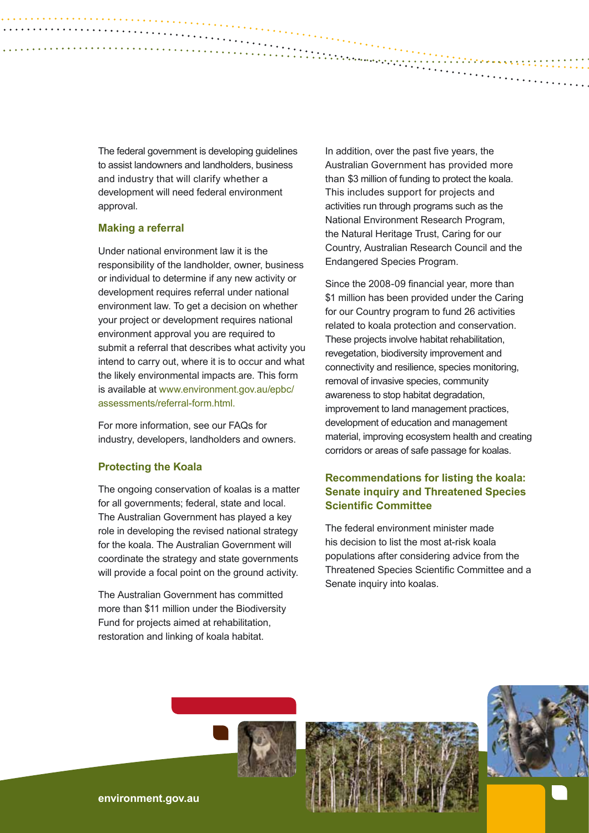The federal government is developing guidelines to assist landowners and landholders, business and industry that will clarify whether a development will need federal environment approval.

#### **Making a referral**

Under national environment law it is the responsibility of the landholder, owner, business or individual to determine if any new activity or development requires referral under national environment law. To get a decision on whether your project or development requires national environment approval you are required to submit a referral that describes what activity you intend to carry out, where it is to occur and what the likely environmental impacts are. This form is available at [www.environment.gov.au/epbc/](www.environment.gov.au/epbc/assessments/referral-form.html) [assessments/referral-form.html](www.environment.gov.au/epbc/assessments/referral-form.html).

For more information, see our FAQs for industry, developers, landholders and owners.

#### **Protecting the Koala**

The ongoing conservation of koalas is a matter for all governments; federal, state and local. The Australian Government has played a key role in developing the revised national strategy for the koala. The Australian Government will coordinate the strategy and state governments will provide a focal point on the ground activity.

The Australian Government has committed more than \$11 million under the Biodiversity Fund for projects aimed at rehabilitation, restoration and linking of koala habitat.

In addition, over the past five years, the Australian Government has provided more than \$3 million of funding to protect the koala. This includes support for projects and activities run through programs such as the National Environment Research Program, the Natural Heritage Trust, Caring for our Country, Australian Research Council and the Endangered Species Program.

Since the 2008-09 financial year, more than \$1 million has been provided under the Caring for our Country program to fund 26 activities related to koala protection and conservation. These projects involve habitat rehabilitation, revegetation, biodiversity improvement and connectivity and resilience, species monitoring, removal of invasive species, community awareness to stop habitat degradation, improvement to land management practices, development of education and management material, improving ecosystem health and creating corridors or areas of safe passage for koalas.

## **Recommendations for listing the koala: Senate inquiry and Threatened Species Scientific Committee**

The federal environment minister made his decision to list the most at-risk koala populations after considering advice from the Threatened Species Scientific Committee and a Senate inquiry into koalas.

![](_page_4_Picture_11.jpeg)